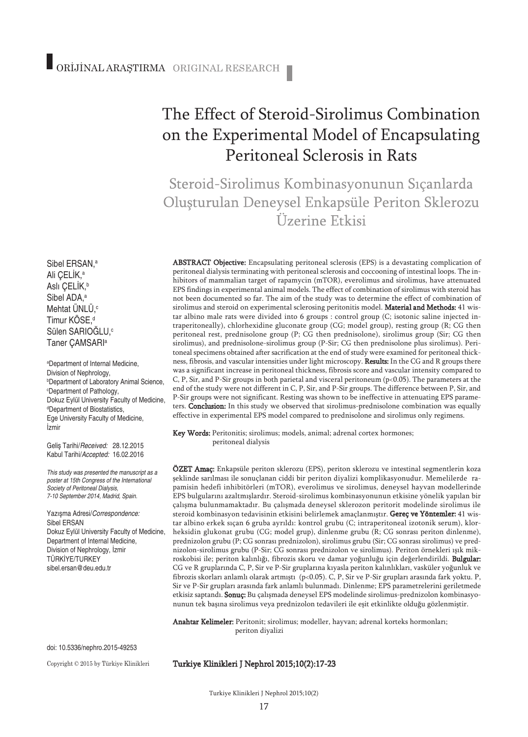# The Effect of Steroid-Sirolimus Combination on the Experimental Model of Encapsulating Peritoneal Sclerosis in Rats

Steroid-Sirolimus Kombinasyonunun Sıçanlarda Oluşturulan Deneysel Enkapsüle Periton Sklerozu Üzerine Etkisi

ABSTRACT Objective: Encapsulating peritoneal sclerosis (EPS) is a devastating complication of peritoneal dialysis terminating with peritoneal sclerosis and coccooning of intestinal loops. The inhibitors of mammalian target of rapamycin (mTOR), everolimus and sirolimus, have attenuated EPS findings in experimental animal models. The effect of combination of sirolimus with steroid has not been documented so far. The aim of the study was to determine the effect of combination of sirolimus and steroid on experimental sclerosing peritonitis model. Material and Methods: 41 wistar albino male rats were divided into 6 groups : control group (C; isotonic saline injected intraperitoneally), chlorhexidine gluconate group (CG; model group), resting group (R; CG then peritoneal rest, prednisolone group (P; CG then prednisolone), sirolimus group (Sir; CG then sirolimus), and prednisolone-sirolimus group (P-Sir; CG then prednisolone plus sirolimus). Peritoneal specimens obtained after sacrification at the end of study were examined for peritoneal thickness, fibrosis, and vascular intensities under light microscopy. Results: In the CG and R groups there was a significant increase in peritoneal thickness, fibrosis score and vascular intensity compared to C, P, Sir, and P-Sir groups in both parietal and visceral peritoneum (p<0.05). The parameters at the end of the study were not different in C, P, Sir, and P-Sir groups. The difference between P, Sir, and P-Sir groups were not significant. Resting was shown to be ineffective in attenuating EPS parameters. Conclusion: In this study we observed that sirolimus-prednisolone combination was equally effective in experimental EPS model compared to prednisolone and sirolimus only regimens.

Key Words: Peritonitis; sirolimus; models, animal; adrenal cortex hormones; peritoneal dialysis

ÖZET Amaç: Enkapsüle periton sklerozu (EPS), periton sklerozu ve intestinal segmentlerin koza şeklinde sarılması ile sonuçlanan ciddi bir periton diyalizi komplikasyonudur. Memelilerde rapamisin hedefi inhibitörleri (mTOR), everolimus ve sirolimus, deneysel hayvan modellerinde EPS bulgularını azaltmışlardır. Steroid-sirolimus kombinasyonunun etkisine yönelik yapılan bir çalışma bulunmamaktadır. Bu çalışmada deneysel sklerozon peritorit modelinde sirolimus ile steroid kombinasyon tedavisinin etkisini belirlemek amaçlanmıştır. Gereç ve Yöntemler: 41 wistar albino erkek sıçan 6 gruba ayrıldı: kontrol grubu (C; intraperitoneal izotonik serum), klorheksidin glukonat grubu (CG; model grup), dinlenme grubu (R; CG sonrası periton dinlenme), prednizolon grubu (P; CG sonrası prednizolon), sirolimus grubu (Sir; CG sonrası sirolimus) ve prednizolon-sirolimus grubu (P-Sir; CG sonrası prednizolon ve sirolimus). Periton örnekleri ışık mikroskobisi ile; periton kalınlığı, fibrozis skoru ve damar yoğunluğu için değerlendirildi. Bulgular: CG ve R gruplarında C, P, Sir ve P-Sir gruplarına kıyasla periton kalınlıkları, vasküler yoğunluk ve fibrozis skorları anlamlı olarak artmıştı (p<0.05). C, P, Sir ve P-Sir grupları arasında fark yoktu. P, Sir ve P-Sir grupları arasında fark anlamlı bulunmadı. Dinlenme; EPS parametrelerini geriletmede etkisiz saptandı. Sonuç: Bu çalışmada deneysel EPS modelinde sirolimus-prednizolon kombinasyonunun tek başına sirolimus veya prednizolon tedavileri ile eşit etkinlikte olduğu gözlenmiştir.

Anahtar Kelimeler: Peritonit; sirolimus; modeller, hayvan; adrenal korteks hormonları; periton diyalizi

doi: 10.5336/nephro.2015-49253

Copyright © 2015 by Türkiye Klinikleri

#### Turkiye Klinikleri J Nephrol 2015;10(2):17-23

Sülen SARIOGLU,<sup>c</sup> Taner ÇAMSARI a a Department of Internal Medicine,

Sibel ERSAN, a Ali ÇELİK, a Aslı ÇELİK, b Sibel ADA, a Mehtat ÜNLÜ, c Timur KÖSE, d

Division of Nephrology, b Department of Laboratory Animal Science, c Department of Pathology, Dokuz Eylül University Faculty of Medicine, d Department of Biostatistics, Ege University Faculty of Medicine, İzmir

Geliş Tarihi/*Received:* 28.12.2015 Kabul Tarihi/*Accepted:* 16.02.2016

*This study was presented the manuscript as a poster at 15th Congress of the International Society of Peritoneal Dialysis, 7-10 September 2014, Madrid, Spain.*

Yazışma Adresi/*Correspondence:* Sibel ERSAN Dokuz Eylül University Faculty of Medicine, Department of Internal Medicine, Division of Nephrology, İzmir TÜRKİYE/TURKEY sibel.ersan@deu.edu.tr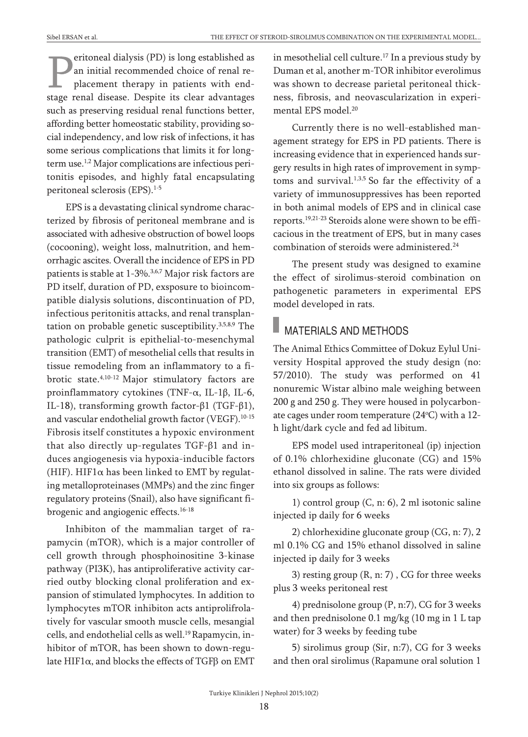eritoneal dialysis (PD) is long established as an initial recommended choice of renal replacement therapy in patients with endstage renal disease. Despite its clear advantages such as preserving residual renal functions better, affording better homeostatic stability, providing social independency, and low risk of infections, it has some serious complications that limits it for longterm use.<sup>1,2</sup> Major complications are infectious peritonitis episodes, and highly fatal encapsulating peritoneal sclerosis (EPS). 1-5

EPS is a devastating clinical syndrome characterized by fibrosis of peritoneal membrane and is associated with adhesive obstruction of bowel loops (cocooning), weight loss, malnutrition, and hemorrhagic ascites. Overall the incidence of EPS in PD patients is stable at 1-3%.<sup>3,6,7</sup> Major risk factors are PD itself, duration of PD, exsposure to bioincompatible dialysis solutions, discontinuation of PD, infectious peritonitis attacks, and renal transplantation on probable genetic susceptibility. 3,5,8,9 The pathologic culprit is epithelial-to-mesenchymal transition (EMT) of mesothelial cells that results in tissue remodeling from an inflammatory to a fibrotic state. 4,10-12 Major stimulatory factors are proinflammatory cytokines (TNF-α, IL-1β, IL-6, IL-18), transforming growth factor-β1 (TGF-β1), and vascular endothelial growth factor (VEGF). 10-15 Fibrosis itself constitutes a hypoxic environment that also directly up-regulates TGF-β1 and induces angiogenesis via hypoxia-inducible factors (HIF). HIF1 $\alpha$  has been linked to EMT by regulating metalloproteinases (MMPs) and the zinc finger regulatory proteins (Snail), also have significant fibrogenic and angiogenic effects. 16-18

Inhibiton of the mammalian target of rapamycin (mTOR), which is a major controller of cell growth through phosphoinositine 3-kinase pathway (PI3K), has antiproliferative activity carried outby blocking clonal proliferation and expansion of stimulated lymphocytes. In addition to lymphocytes mTOR inhibiton acts antiprolifrolatively for vascular smooth muscle cells, mesangial cells, and endothelial cells as well. 19Rapamycin, inhibitor of mTOR, has been shown to down-regulate HIF1α, and blocks the effects of TGFβ on EMT

in mesothelial cell culture. <sup>17</sup> In a previous study by Duman et al, another m-TOR inhibitor everolimus was shown to decrease parietal peritoneal thickness, fibrosis, and neovascularization in experimental EPS model. 20

Currently there is no well-established management strategy for EPS in PD patients. There is increasing evidence that in experienced hands surgery results in high rates of improvement in symptoms and survival.<sup>1,3,5</sup> So far the effectivity of a variety of immunosuppressives has been reported in both animal models of EPS and in clinical case reports. 19,21-23 Steroids alone were shown to be efficacious in the treatment of EPS, but in many cases combination of steroids were administered. 24

The present study was designed to examine the effect of sirolimus-steroid combination on pathogenetic parameters in experimental EPS model developed in rats.

### MATERIALS AND METHODS

The Animal Ethics Committee of Dokuz Eylul University Hospital approved the study design (no: 57/2010). The study was performed on 41 nonuremic Wistar albino male weighing between 200 g and 250 g. They were housed in polycarbonate cages under room temperature (24°C) with a 12h light/dark cycle and fed ad libitum.

EPS model used intraperitoneal (ip) injection of 0.1% chlorhexidine gluconate (CG) and 15% ethanol dissolved in saline. The rats were divided into six groups as follows:

1) control group (C, n: 6), 2 ml isotonic saline injected ip daily for 6 weeks

2) chlorhexidine gluconate group (CG, n: 7), 2 ml 0.1% CG and 15% ethanol dissolved in saline injected ip daily for 3 weeks

3) resting group (R, n: 7) , CG for three weeks plus 3 weeks peritoneal rest

4) prednisolone group (P, n:7), CG for 3 weeks and then prednisolone 0.1 mg/kg (10 mg in 1 L tap water) for 3 weeks by feeding tube

5) sirolimus group (Sir, n:7), CG for 3 weeks and then oral sirolimus (Rapamune oral solution 1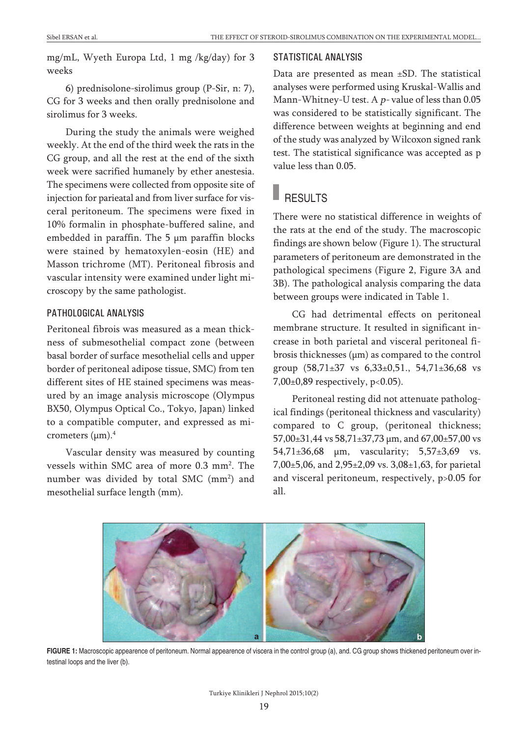mg/mL, Wyeth Europa Ltd, 1 mg /kg/day) for 3 weeks

6) prednisolone-sirolimus group (P-Sir, n: 7), CG for 3 weeks and then orally prednisolone and sirolimus for 3 weeks.

During the study the animals were weighed weekly. At the end of the third week the rats in the CG group, and all the rest at the end of the sixth week were sacrified humanely by ether anestesia. The specimens were collected from opposite site of injection for parieatal and from liver surface for visceral peritoneum. The specimens were fixed in 10% formalin in phosphate-buffered saline, and embedded in paraffin. The 5 µm paraffin blocks were stained by hematoxylen-eosin (HE) and Masson trichrome (MT). Peritoneal fibrosis and vascular intensity were examined under light microscopy by the same pathologist.

#### PATHOLOGICAL ANALYSIS

Peritoneal fibrois was measured as a mean thickness of submesothelial compact zone (between basal border of surface mesothelial cells and upper border of peritoneal adipose tissue, SMC) from ten different sites of HE stained specimens was measured by an image analysis microscope (Olympus BX50, Olympus Optical Co., Tokyo, Japan) linked to a compatible computer, and expressed as micrometers (µm). 4

Vascular density was measured by counting vessels within SMC area of more 0.3 mm<sup>2</sup>. The number was divided by total SMC (mm<sup>2</sup>) and mesothelial surface length (mm).

#### STATISTICAL ANALYSIS

Data are presented as mean ±SD. The statistical analyses were performed using Kruskal-Wallis and Mann-Whitney-U test. A  $p$ - value of less than 0.05 was considered to be statistically significant. The difference between weights at beginning and end of the study was analyzed by Wilcoxon signed rank test. The statistical significance was accepted as p value less than 0.05.

## **RESULTS**

There were no statistical difference in weights of the rats at the end of the study. The macroscopic findings are shown below (Figure 1). The structural parameters of peritoneum are demonstrated in the pathological specimens (Figure 2, Figure 3A and 3B). The pathological analysis comparing the data between groups were indicated in Table 1.

CG had detrimental effects on peritoneal membrane structure. It resulted in significant increase in both parietal and visceral peritoneal fibrosis thicknesses  $(\mu m)$  as compared to the control group (58,71±37 vs 6,33±0,51., 54,71±36,68 vs 7,00±0,89 respectively, p<0.05).

Peritoneal resting did not attenuate pathological findings (peritoneal thickness and vascularity) compared to C group, (peritoneal thickness; 57,00±31,44 vs 58,71±37,73 µm, and 67,00±57,00 vs 54,71±36,68 µm, vascularity; 5,57±3,69 vs. 7,00±5,06, and 2,95±2,09 vs. 3,08±1,63, for parietal and visceral peritoneum, respectively, p>0.05 for all.



**FIGURE 1:** Macroscopic appearence of peritoneum. Normal appearence of viscera in the control group (a), and. CG group shows thickened peritoneum over intestinal loops and the liver (b).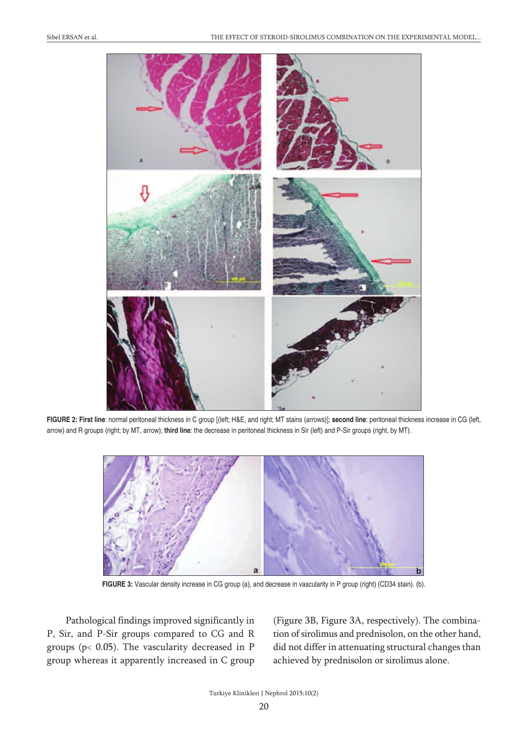

**FIGURE 2: First line**: normal peritoneal thickness in C group [(left; H&E, and right; MT stains (arrows)]; **second line**: peritoneal thickness increase in CG (left, arrow) and R groups (right; by MT, arrow); **third line**: the decrease in peritoneal thickness in Sir (left) and P-Sir groups (right, by MT).



**FIGURE 3:** Vascular density increase in CG group (a), and decrease in vascularity in P group (right) (CD34 stain). (b).

Pathological findings improved significantly in P, Sir, and P-Sir groups compared to CG and R groups (p< 0.05). The vascularity decreased in P group whereas it apparently increased in C group (Figure 3B, Figure 3A, respectively). The combination of sirolimus and prednisolon, on the other hand, did not differ in attenuating structural changes than achieved by prednisolon or sirolimus alone.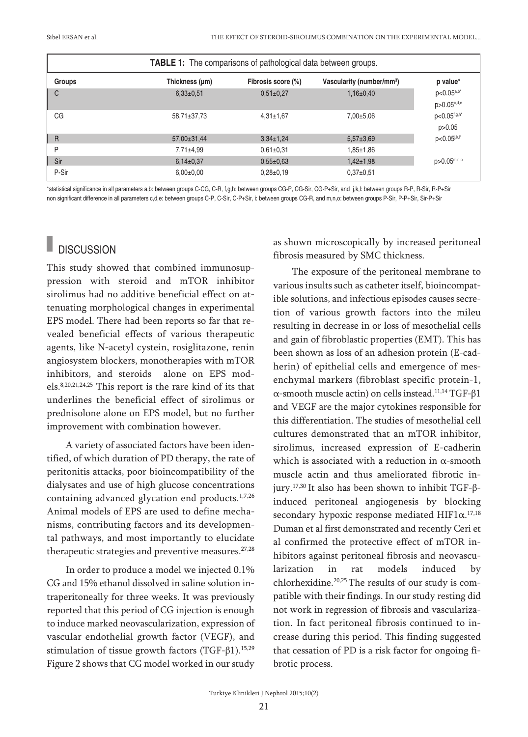| <b>TABLE 1:</b> The comparisons of pathological data between groups. |                 |                    |                                       |                                 |
|----------------------------------------------------------------------|-----------------|--------------------|---------------------------------------|---------------------------------|
| Groups                                                               | Thickness (µm)  | Fibrosis score (%) | Vascularity (number/mm <sup>3</sup> ) | p value*                        |
| С                                                                    | $6,33\pm0.51$   | $0.51 \pm 0.27$    | $1,16\pm0.40$                         | $p<0.05^{a,b^*}$<br>p>0.05c,d,e |
| CG                                                                   | 58,71±37,73     | $4.31 \pm 1.67$    | $7,00\pm5,06$                         | p<0.05f,g,h*<br>p > 0.05        |
| $\overline{R}$                                                       | 57,00±31,44     | $3.34 \pm 1.24$    | $5.57 \pm 3.69$                       | $p<0.05$ <sub>j,k,l</sub> *     |
| P                                                                    | $7.71 \pm 4.99$ | $0.61 \pm 0.31$    | $1,85 \pm 1,86$                       |                                 |
| Sir                                                                  | $6,14\pm0.37$   | $0.55 \pm 0.63$    | $1,42+1,98$                           | p>0.05m,n,o                     |
| P-Sir                                                                | $6,00\pm0,00$   | $0.28 \pm 0.19$    | $0.37+0.51$                           |                                 |

\*statistical significance in all parameters a,b: between groups C-CG, C-R, f,g,h: between groups CG-P, CG-Sir, CG-P+Sir, and j,k,l: between groups R-P, R-Sir, R-P+Sir non significant difference in all parameters c,d,e: between groups C-P, C-Sir, C-P+Sir, i: between groups CG-R, and m,n,o: between groups P-Sir, P-P+Sir, Sir-P+Sir

## **DISCUSSION**

This study showed that combined immunosuppression with steroid and mTOR inhibitor sirolimus had no additive beneficial effect on attenuating morphological changes in experimental EPS model. There had been reports so far that revealed beneficial effects of various therapeutic agents, like N-acetyl cystein, rosiglitazone, renin angiosystem blockers, monotherapies with mTOR inhibitors, and steroids alone on EPS models. 8,20,21,24,25 This report is the rare kind of its that underlines the beneficial effect of sirolimus or prednisolone alone on EPS model, but no further improvement with combination however.

A variety of associated factors have been identified, of which duration of PD therapy, the rate of peritonitis attacks, poor bioincompatibility of the dialysates and use of high glucose concentrations containing advanced glycation end products. 1,7,26 Animal models of EPS are used to define mechanisms, contributing factors and its developmental pathways, and most importantly to elucidate therapeutic strategies and preventive measures. 27,28

In order to produce a model we injected 0.1% CG and 15% ethanol dissolved in saline solution intraperitoneally for three weeks. It was previously reported that this period of CG injection is enough to induce marked neovascularization, expression of vascular endothelial growth factor (VEGF), and stimulation of tissue growth factors (TGF-β1). 15,29 Figure 2 shows that CG model worked in our study as shown microscopically by increased peritoneal fibrosis measured by SMC thickness.

The exposure of the peritoneal membrane to various insults such as catheter itself, bioincompatible solutions, and infectious episodes causes secretion of various growth factors into the mileu resulting in decrease in or loss of mesothelial cells and gain of fibroblastic properties (EMT). This has been shown as loss of an adhesion protein (E-cadherin) of epithelial cells and emergence of mesenchymal markers (fibroblast specific protein-1, α-smooth muscle actin) on cells instead. 11,14 TGF-β1 and VEGF are the major cytokines responsible for this differentiation. The studies of mesothelial cell cultures demonstrated that an mTOR inhibitor, sirolimus, increased expression of E-cadherin which is associated with a reduction in  $\alpha$ -smooth muscle actin and thus ameliorated fibrotic injury. 17,30 It also has been shown to inhibit TGF-βinduced peritoneal angiogenesis by blocking secondary hypoxic response mediated  $HIF1\alpha$ .<sup>17,18</sup> Duman et al first demonstrated and recently Ceri et al confirmed the protective effect of mTOR inhibitors against peritoneal fibrosis and neovascularization in rat models induced by chlorhexidine. 20,25 The results of our study is compatible with their findings. In our study resting did not work in regression of fibrosis and vascularization. In fact peritoneal fibrosis continued to increase during this period. This finding suggested that cessation of PD is a risk factor for ongoing fibrotic process.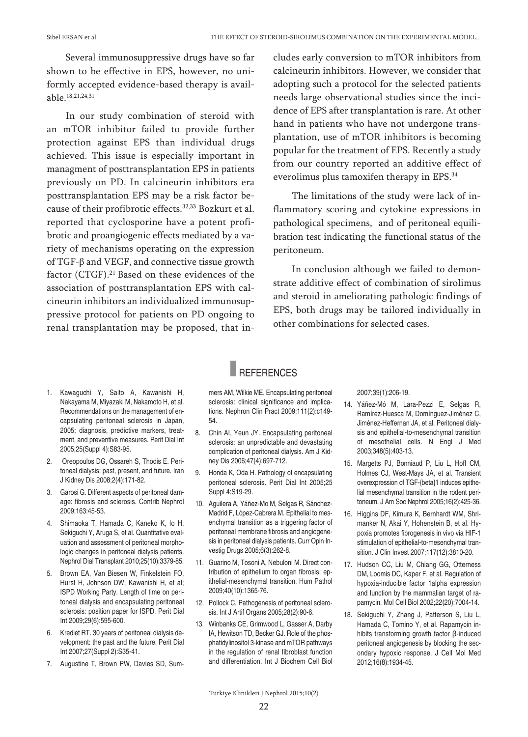Several immunosuppressive drugs have so far shown to be effective in EPS, however, no uniformly accepted evidence-based therapy is available. 18,21,24,31

In our study combination of steroid with an mTOR inhibitor failed to provide further protection against EPS than individual drugs achieved. This issue is especially important in managment of posttransplantation EPS in patients previously on PD. In calcineurin inhibitors era posttransplantation EPS may be a risk factor because of their profibrotic effects. 32,33 Bozkurt et al. reported that cyclosporine have a potent profibrotic and proangiogenic effects mediated by a variety of mechanisms operating on the expression of TGF-β and VEGF, and connective tissue growth factor (CTGF). <sup>21</sup> Based on these evidences of the association of posttransplantation EPS with calcineurin inhibitors an individualized immunosuppressive protocol for patients on PD ongoing to renal transplantation may be proposed, that includes early conversion to mTOR inhibitors from calcineurin inhibitors. However, we consider that adopting such a protocol for the selected patients needs large observational studies since the incidence of EPS after transplantation is rare. At other hand in patients who have not undergone transplantation, use of mTOR inhibitors is becoming popular for the treatment of EPS. Recently a study from our country reported an additive effect of everolimus plus tamoxifen therapy in EPS. 34

The limitations of the study were lack of inflammatory scoring and cytokine expressions in pathological specimens, and of peritoneal equilibration test indicating the functional status of the peritoneum.

In conclusion although we failed to demonstrate additive effect of combination of sirolimus and steroid in ameliorating pathologic findings of EPS, both drugs may be tailored individually in other combinations for selected cases.

- 1. Kawaguchi Y, Saito A, Kawanishi H, Nakayama M, Miyazaki M, Nakamoto H, et al. Recommendations on the management of encapsulating peritoneal sclerosis in Japan, 2005: diagnosis, predictive markers, treatment, and preventive measures. Perit Dial Int 2005;25(Suppl 4):S83-95.
- 2. Oreopoulos DG, Ossareh S, Thodis E. Peritoneal dialysis: past, present, and future. Iran J Kidney Dis 2008;2(4):171-82.
- 3. Garosi G. Different aspects of peritoneal damage: fibrosis and sclerosis. Contrib Nephrol 2009;163:45-53.
- 4. Shimaoka T, Hamada C, Kaneko K, Io H, Sekiguchi Y, Aruga S, et al. Quantitative evaluation and assessment of peritoneal morphologic changes in peritoneal dialysis patients. Nephrol Dial Transplant 2010;25(10):3379-85.
- 5. Brown EA, Van Biesen W, Finkelstein FO, Hurst H, Johnson DW, Kawanishi H, et al; ISPD Working Party. Length of time on peritoneal dialysis and encapsulating peritoneal sclerosis: position paper for ISPD. Perit Dial Int 2009;29(6):595-600.
- 6. Krediet RT. 30 years of peritoneal dialysis development: the past and the future. Perit Dial Int 2007;27(Suppl 2):S35-41.
- 7. Augustine T, Brown PW, Davies SD, Sum-

#### REFERENCES

mers AM, Wilkie ME. Encapsulating peritoneal sclerosis: clinical significance and implications. Nephron Clin Pract 2009;111(2):c149- 54.

- 8. Chin AI, Yeun JY. Encapsulating peritoneal sclerosis: an unpredictable and devastating complication of peritoneal dialysis. Am J Kidney Dis 2006;47(4):697-712.
- 9. Honda K, Oda H. Pathology of encapsulating peritoneal sclerosis. Perit Dial Int 2005;25 Suppl 4:S19-29.
- 10. Aguilera A, Yáñez-Mo M, Selgas R, Sánchez-Madrid F, López-Cabrera M. Epithelial to mesenchymal transition as a triggering factor of peritoneal membrane fibrosis and angiogenesis in peritoneal dialysis patients. Curr Opin Investig Drugs 2005;6(3):262-8.
- 11. Guarino M, Tosoni A, Nebuloni M. Direct contribution of epithelium to organ fibrosis: epithelial-mesenchymal transition. Hum Pathol 2009;40(10):1365-76.
- 12. Pollock C. Pathogenesis of peritoneal sclerosis. Int J Artif Organs 2005;28(2):90-6.
- 13. Winbanks CE, Grimwood L, Gasser A, Darby IA, Hewitson TD, Becker GJ. Role of the phosphatidylinositol 3-kinase and mTOR pathways in the regulation of renal fibroblast function and differentiation. Int J Biochem Cell Biol

2007;39(1):206-19.

- 14. Yáñez-Mó M, Lara-Pezzi E, Selgas R, Ramírez-Huesca M, Domínguez-Jiménez C, Jiménez-Heffernan JA, et al. Peritoneal dialysis and epithelial-to-mesenchymal transition of mesothelial cells. N Engl J Med 2003;348(5):403-13.
- 15. Margetts PJ, Bonniaud P, Liu L, Hoff CM, Holmes CJ, West-Mays JA, et al. Transient overexpression of TGF-{beta}1 induces epithelial mesenchymal transition in the rodent peritoneum. J Am Soc Nephrol 2005;16(2):425-36.
- 16. Higgins DF, Kimura K, Bernhardt WM, Shrimanker N, Akai Y, Hohenstein B, et al. Hypoxia promotes fibrogenesis in vivo via HIF-1 stimulation of epithelial-to-mesenchymal transition. J Clin Invest 2007;117(12):3810-20.
- 17. Hudson CC, Liu M, Chiang GG, Otterness DM, Loomis DC, Kaper F, et al. Regulation of hypoxia-inducible factor 1alpha expression and function by the mammalian target of rapamycin. Mol Cell Biol 2002;22(20):7004-14.
- 18. Sekiguchi Y, Zhang J, Patterson S, Liu L, Hamada C, Tomino Y, et al. Rapamycin inhibits transforming growth factor β-induced peritoneal angiogenesis by blocking the secondary hypoxic response. J Cell Mol Med 2012;16(8):1934-45.